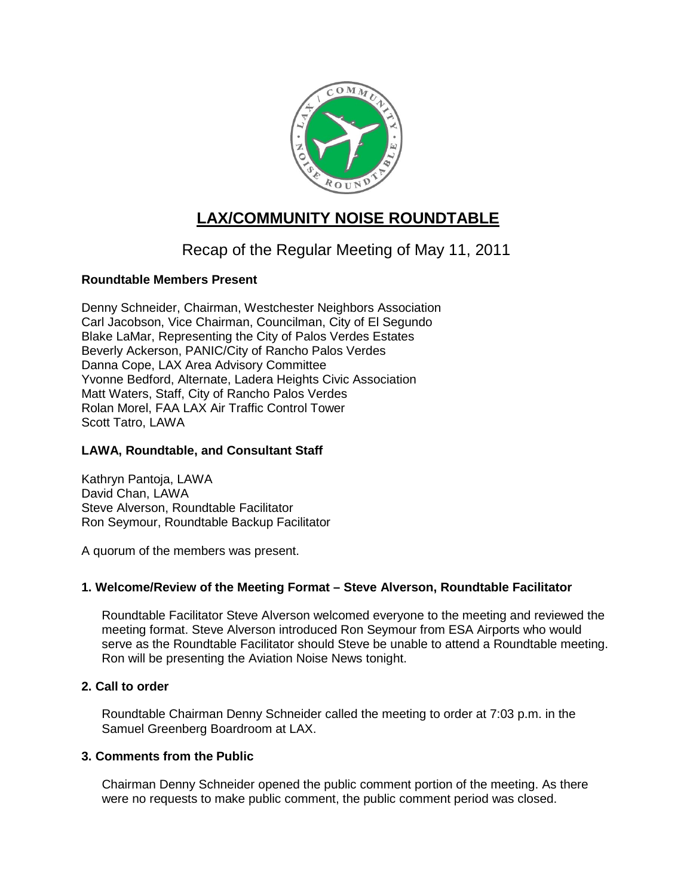

# **LAX/COMMUNITY NOISE ROUNDTABLE**

# Recap of the Regular Meeting of May 11, 2011

## **Roundtable Members Present**

Denny Schneider, Chairman, Westchester Neighbors Association Carl Jacobson, Vice Chairman, Councilman, City of El Segundo Blake LaMar, Representing the City of Palos Verdes Estates Beverly Ackerson, PANIC/City of Rancho Palos Verdes Danna Cope, LAX Area Advisory Committee Yvonne Bedford, Alternate, Ladera Heights Civic Association Matt Waters, Staff, City of Rancho Palos Verdes Rolan Morel, FAA LAX Air Traffic Control Tower Scott Tatro, LAWA

## **LAWA, Roundtable, and Consultant Staff**

Kathryn Pantoja, LAWA David Chan, LAWA Steve Alverson, Roundtable Facilitator Ron Seymour, Roundtable Backup Facilitator

A quorum of the members was present.

## **1. Welcome/Review of the Meeting Format – Steve Alverson, Roundtable Facilitator**

Roundtable Facilitator Steve Alverson welcomed everyone to the meeting and reviewed the meeting format. Steve Alverson introduced Ron Seymour from ESA Airports who would serve as the Roundtable Facilitator should Steve be unable to attend a Roundtable meeting. Ron will be presenting the Aviation Noise News tonight.

## **2. Call to order**

Roundtable Chairman Denny Schneider called the meeting to order at 7:03 p.m. in the Samuel Greenberg Boardroom at LAX.

## **3. Comments from the Public**

Chairman Denny Schneider opened the public comment portion of the meeting. As there were no requests to make public comment, the public comment period was closed.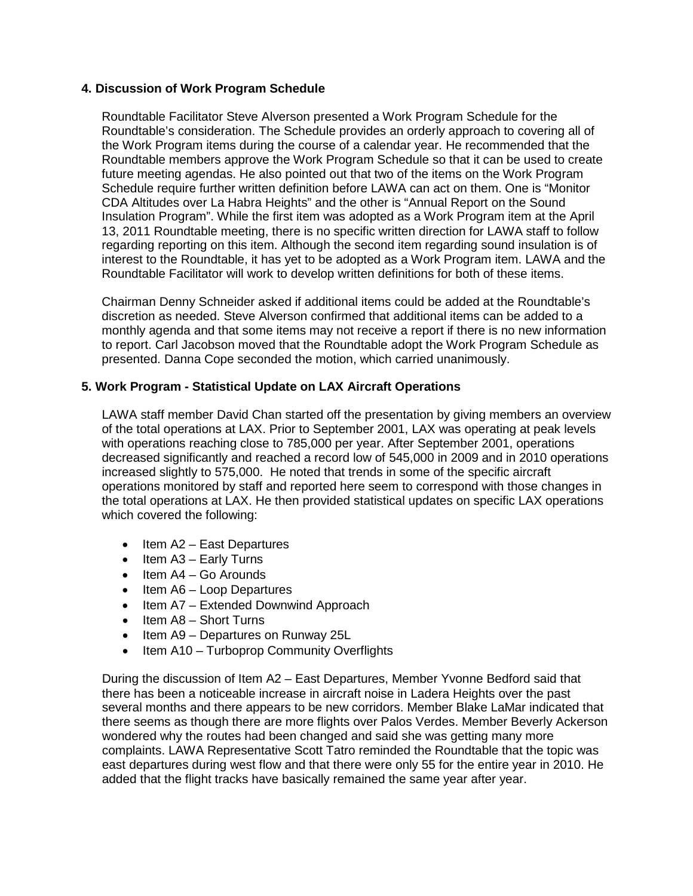#### **4. Discussion of Work Program Schedule**

Roundtable Facilitator Steve Alverson presented a Work Program Schedule for the Roundtable's consideration. The Schedule provides an orderly approach to covering all of the Work Program items during the course of a calendar year. He recommended that the Roundtable members approve the Work Program Schedule so that it can be used to create future meeting agendas. He also pointed out that two of the items on the Work Program Schedule require further written definition before LAWA can act on them. One is "Monitor CDA Altitudes over La Habra Heights" and the other is "Annual Report on the Sound Insulation Program". While the first item was adopted as a Work Program item at the April 13, 2011 Roundtable meeting, there is no specific written direction for LAWA staff to follow regarding reporting on this item. Although the second item regarding sound insulation is of interest to the Roundtable, it has yet to be adopted as a Work Program item. LAWA and the Roundtable Facilitator will work to develop written definitions for both of these items.

Chairman Denny Schneider asked if additional items could be added at the Roundtable's discretion as needed. Steve Alverson confirmed that additional items can be added to a monthly agenda and that some items may not receive a report if there is no new information to report. Carl Jacobson moved that the Roundtable adopt the Work Program Schedule as presented. Danna Cope seconded the motion, which carried unanimously.

## **5. Work Program - Statistical Update on LAX Aircraft Operations**

LAWA staff member David Chan started off the presentation by giving members an overview of the total operations at LAX. Prior to September 2001, LAX was operating at peak levels with operations reaching close to 785,000 per year. After September 2001, operations decreased significantly and reached a record low of 545,000 in 2009 and in 2010 operations increased slightly to 575,000. He noted that trends in some of the specific aircraft operations monitored by staff and reported here seem to correspond with those changes in the total operations at LAX. He then provided statistical updates on specific LAX operations which covered the following:

- Item A2 East Departures
- Item A3 Early Turns
- $\bullet$  Item A4 Go Arounds
- Item A6 Loop Departures
- Item A7 Extended Downwind Approach
- Item A8 Short Turns
- Item A9 Departures on Runway 25L
- Item A10 Turboprop Community Overflights

During the discussion of Item A2 – East Departures, Member Yvonne Bedford said that there has been a noticeable increase in aircraft noise in Ladera Heights over the past several months and there appears to be new corridors. Member Blake LaMar indicated that there seems as though there are more flights over Palos Verdes. Member Beverly Ackerson wondered why the routes had been changed and said she was getting many more complaints. LAWA Representative Scott Tatro reminded the Roundtable that the topic was east departures during west flow and that there were only 55 for the entire year in 2010. He added that the flight tracks have basically remained the same year after year.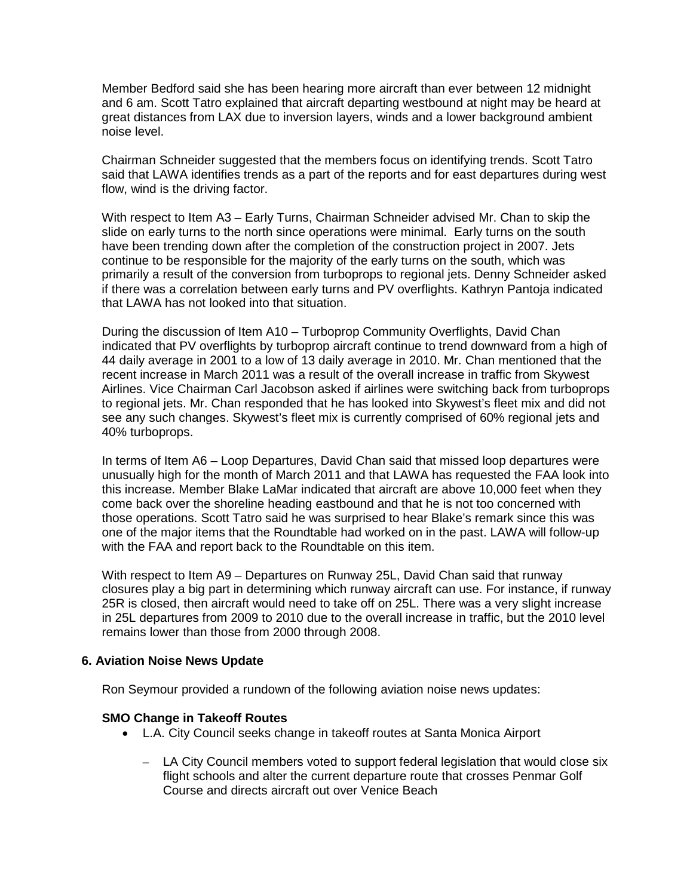Member Bedford said she has been hearing more aircraft than ever between 12 midnight and 6 am. Scott Tatro explained that aircraft departing westbound at night may be heard at great distances from LAX due to inversion layers, winds and a lower background ambient noise level.

Chairman Schneider suggested that the members focus on identifying trends. Scott Tatro said that LAWA identifies trends as a part of the reports and for east departures during west flow, wind is the driving factor.

With respect to Item A3 – Early Turns, Chairman Schneider advised Mr. Chan to skip the slide on early turns to the north since operations were minimal. Early turns on the south have been trending down after the completion of the construction project in 2007. Jets continue to be responsible for the majority of the early turns on the south, which was primarily a result of the conversion from turboprops to regional jets. Denny Schneider asked if there was a correlation between early turns and PV overflights. Kathryn Pantoja indicated that LAWA has not looked into that situation.

During the discussion of Item A10 – Turboprop Community Overflights, David Chan indicated that PV overflights by turboprop aircraft continue to trend downward from a high of 44 daily average in 2001 to a low of 13 daily average in 2010. Mr. Chan mentioned that the recent increase in March 2011 was a result of the overall increase in traffic from Skywest Airlines. Vice Chairman Carl Jacobson asked if airlines were switching back from turboprops to regional jets. Mr. Chan responded that he has looked into Skywest's fleet mix and did not see any such changes. Skywest's fleet mix is currently comprised of 60% regional jets and 40% turboprops.

In terms of Item A6 – Loop Departures, David Chan said that missed loop departures were unusually high for the month of March 2011 and that LAWA has requested the FAA look into this increase. Member Blake LaMar indicated that aircraft are above 10,000 feet when they come back over the shoreline heading eastbound and that he is not too concerned with those operations. Scott Tatro said he was surprised to hear Blake's remark since this was one of the major items that the Roundtable had worked on in the past. LAWA will follow-up with the FAA and report back to the Roundtable on this item.

With respect to Item A9 – Departures on Runway 25L, David Chan said that runway closures play a big part in determining which runway aircraft can use. For instance, if runway 25R is closed, then aircraft would need to take off on 25L. There was a very slight increase in 25L departures from 2009 to 2010 due to the overall increase in traffic, but the 2010 level remains lower than those from 2000 through 2008.

#### **6. Aviation Noise News Update**

Ron Seymour provided a rundown of the following aviation noise news updates:

#### **SMO Change in Takeoff Routes**

- L.A. City Council seeks change in takeoff routes at Santa Monica Airport
	- LA City Council members voted to support federal legislation that would close six flight schools and alter the current departure route that crosses Penmar Golf Course and directs aircraft out over Venice Beach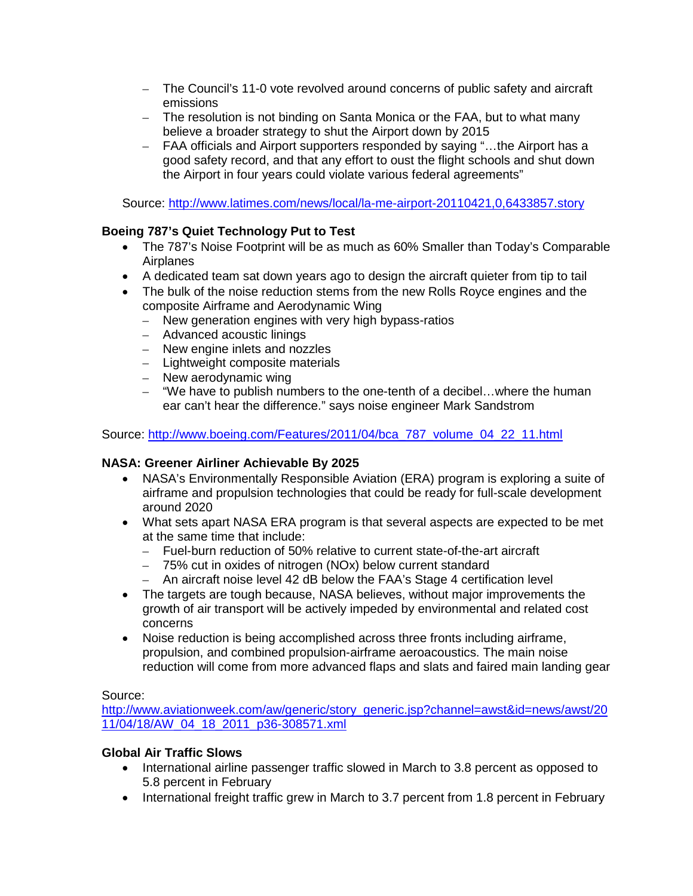- The Council's 11-0 vote revolved around concerns of public safety and aircraft emissions
- The resolution is not binding on Santa Monica or the FAA, but to what many believe a broader strategy to shut the Airport down by 2015
- FAA officials and Airport supporters responded by saying "…the Airport has a good safety record, and that any effort to oust the flight schools and shut down the Airport in four years could violate various federal agreements"

Source:<http://www.latimes.com/news/local/la-me-airport-20110421,0,6433857.story>

## **Boeing 787's Quiet Technology Put to Test**

- The 787's Noise Footprint will be as much as 60% Smaller than Today's Comparable Airplanes
- A dedicated team sat down years ago to design the aircraft quieter from tip to tail
- The bulk of the noise reduction stems from the new Rolls Royce engines and the composite Airframe and Aerodynamic Wing
	- New generation engines with very high bypass-ratios
	- Advanced acoustic linings
	- New engine inlets and nozzles
	- Lightweight composite materials
	- New aerodynamic wing
	- "We have to publish numbers to the one-tenth of a decibel…where the human ear can't hear the difference." says noise engineer Mark Sandstrom

Source: [http://www.boeing.com/Features/2011/04/bca\\_787\\_volume\\_04\\_22\\_11.html](http://www.boeing.com/Features/2011/04/bca_787_volume_04_22_11.html)

## **NASA: Greener Airliner Achievable By 2025**

- NASA's Environmentally Responsible Aviation (ERA) program is exploring a suite of airframe and propulsion technologies that could be ready for full-scale development around 2020
- What sets apart NASA ERA program is that several aspects are expected to be met at the same time that include:
	- Fuel-burn reduction of 50% relative to current state-of-the-art aircraft
	- 75% cut in oxides of nitrogen (NOx) below current standard
	- An aircraft noise level 42 dB below the FAA's Stage 4 certification level
- The targets are tough because, NASA believes, without major improvements the growth of air transport will be actively impeded by environmental and related cost concerns
- Noise reduction is being accomplished across three fronts including airframe, propulsion, and combined propulsion-airframe aeroacoustics. The main noise reduction will come from more advanced flaps and slats and faired main landing gear

## Source:

[http://www.aviationweek.com/aw/generic/story\\_generic.jsp?channel=awst&id=news/awst/20](http://www.aviationweek.com/aw/generic/story_generic.jsp?channel=awst&id=news/awst/2011/04/18/AW_04_18_2011_p36-308571.xml) [11/04/18/AW\\_04\\_18\\_2011\\_p36-308571.xml](http://www.aviationweek.com/aw/generic/story_generic.jsp?channel=awst&id=news/awst/2011/04/18/AW_04_18_2011_p36-308571.xml)

## **Global Air Traffic Slows**

- International airline passenger traffic slowed in March to 3.8 percent as opposed to 5.8 percent in February
- International freight traffic grew in March to 3.7 percent from 1.8 percent in February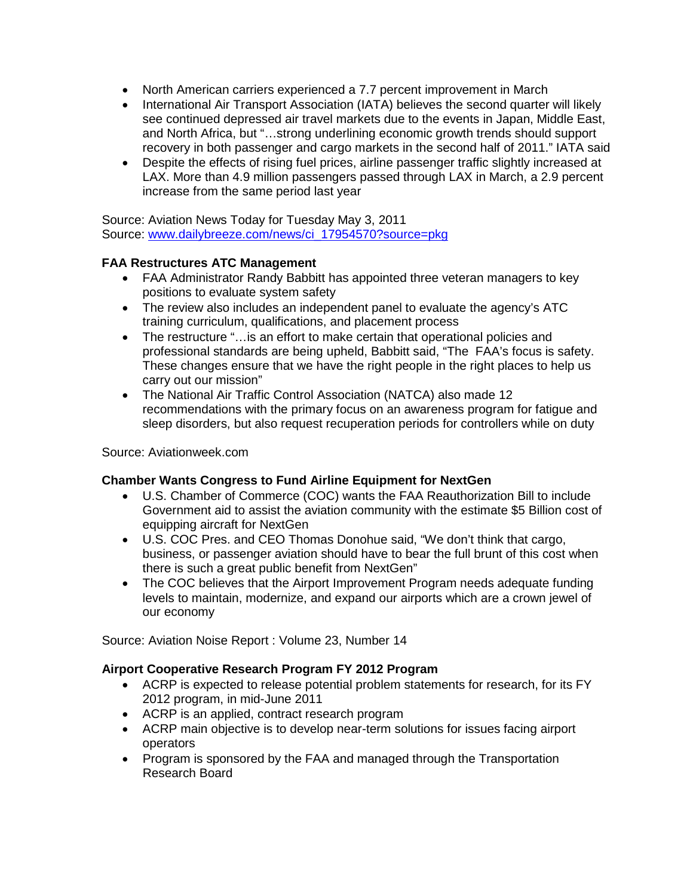- North American carriers experienced a 7.7 percent improvement in March
- International Air Transport Association (IATA) believes the second quarter will likely see continued depressed air travel markets due to the events in Japan, Middle East, and North Africa, but "…strong underlining economic growth trends should support recovery in both passenger and cargo markets in the second half of 2011." IATA said
- Despite the effects of rising fuel prices, airline passenger traffic slightly increased at LAX. More than 4.9 million passengers passed through LAX in March, a 2.9 percent increase from the same period last year

Source: Aviation News Today for Tuesday May 3, 2011 Source: [www.dailybreeze.com/news/ci\\_17954570?source=pkg](http://www.dailybreeze.com/news/ci_17954570?source=pkg)

## **FAA Restructures ATC Management**

- FAA Administrator Randy Babbitt has appointed three veteran managers to key positions to evaluate system safety
- The review also includes an independent panel to evaluate the agency's ATC training curriculum, qualifications, and placement process
- The restructure "…is an effort to make certain that operational policies and professional standards are being upheld, Babbitt said, "The FAA's focus is safety. These changes ensure that we have the right people in the right places to help us carry out our mission"
- The National Air Traffic Control Association (NATCA) also made 12 recommendations with the primary focus on an awareness program for fatigue and sleep disorders, but also request recuperation periods for controllers while on duty

## Source: Aviationweek.com

## **Chamber Wants Congress to Fund Airline Equipment for NextGen**

- U.S. Chamber of Commerce (COC) wants the FAA Reauthorization Bill to include Government aid to assist the aviation community with the estimate \$5 Billion cost of equipping aircraft for NextGen
- U.S. COC Pres. and CEO Thomas Donohue said, "We don't think that cargo, business, or passenger aviation should have to bear the full brunt of this cost when there is such a great public benefit from NextGen"
- The COC believes that the Airport Improvement Program needs adequate funding levels to maintain, modernize, and expand our airports which are a crown jewel of our economy

Source: Aviation Noise Report : Volume 23, Number 14

## **Airport Cooperative Research Program FY 2012 Program**

- ACRP is expected to release potential problem statements for research, for its FY 2012 program, in mid-June 2011
- ACRP is an applied, contract research program
- ACRP main objective is to develop near-term solutions for issues facing airport operators
- Program is sponsored by the FAA and managed through the Transportation Research Board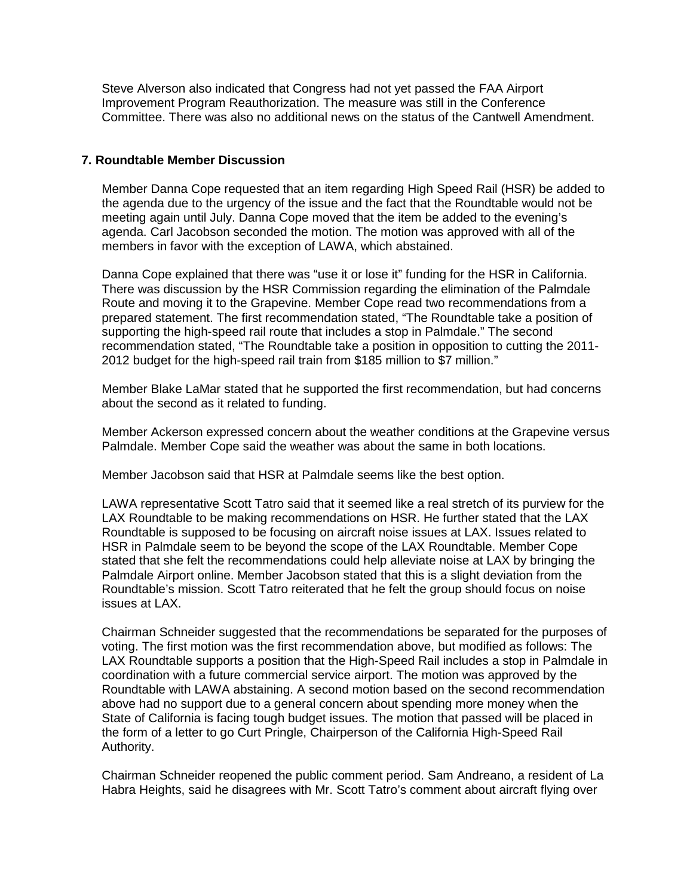Steve Alverson also indicated that Congress had not yet passed the FAA Airport Improvement Program Reauthorization. The measure was still in the Conference Committee. There was also no additional news on the status of the Cantwell Amendment.

#### **7. Roundtable Member Discussion**

Member Danna Cope requested that an item regarding High Speed Rail (HSR) be added to the agenda due to the urgency of the issue and the fact that the Roundtable would not be meeting again until July. Danna Cope moved that the item be added to the evening's agenda. Carl Jacobson seconded the motion. The motion was approved with all of the members in favor with the exception of LAWA, which abstained.

Danna Cope explained that there was "use it or lose it" funding for the HSR in California. There was discussion by the HSR Commission regarding the elimination of the Palmdale Route and moving it to the Grapevine. Member Cope read two recommendations from a prepared statement. The first recommendation stated, "The Roundtable take a position of supporting the high-speed rail route that includes a stop in Palmdale." The second recommendation stated, "The Roundtable take a position in opposition to cutting the 2011- 2012 budget for the high-speed rail train from \$185 million to \$7 million."

Member Blake LaMar stated that he supported the first recommendation, but had concerns about the second as it related to funding.

Member Ackerson expressed concern about the weather conditions at the Grapevine versus Palmdale. Member Cope said the weather was about the same in both locations.

Member Jacobson said that HSR at Palmdale seems like the best option.

LAWA representative Scott Tatro said that it seemed like a real stretch of its purview for the LAX Roundtable to be making recommendations on HSR. He further stated that the LAX Roundtable is supposed to be focusing on aircraft noise issues at LAX. Issues related to HSR in Palmdale seem to be beyond the scope of the LAX Roundtable. Member Cope stated that she felt the recommendations could help alleviate noise at LAX by bringing the Palmdale Airport online. Member Jacobson stated that this is a slight deviation from the Roundtable's mission. Scott Tatro reiterated that he felt the group should focus on noise issues at LAX.

Chairman Schneider suggested that the recommendations be separated for the purposes of voting. The first motion was the first recommendation above, but modified as follows: The LAX Roundtable supports a position that the High-Speed Rail includes a stop in Palmdale in coordination with a future commercial service airport. The motion was approved by the Roundtable with LAWA abstaining. A second motion based on the second recommendation above had no support due to a general concern about spending more money when the State of California is facing tough budget issues. The motion that passed will be placed in the form of a letter to go Curt Pringle, Chairperson of the California High-Speed Rail Authority.

Chairman Schneider reopened the public comment period. Sam Andreano, a resident of La Habra Heights, said he disagrees with Mr. Scott Tatro's comment about aircraft flying over